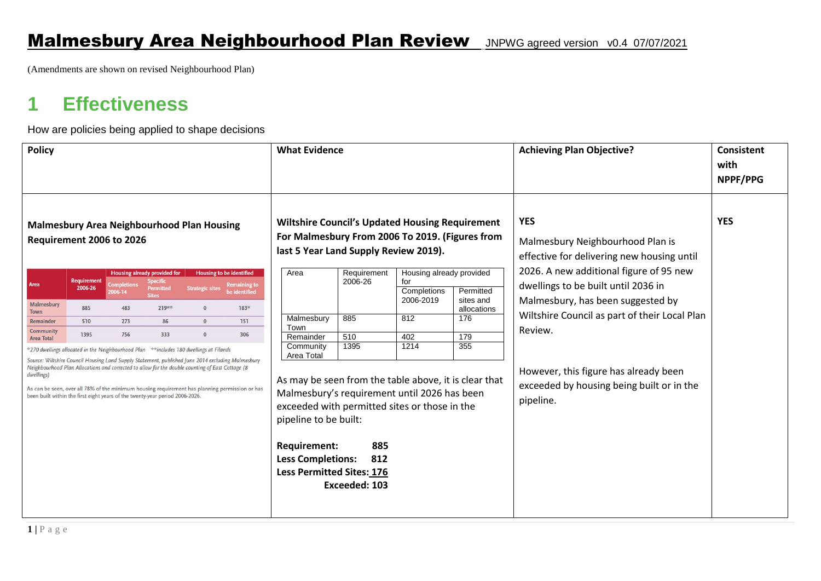(Amendments are shown on revised Neighbourhood Plan)

## **1 Effectiveness**

How are policies being applied to shape decisions

| <b>Policy</b>                                                                                                                                                                                                                                                                                                                                                                                                                                                                                                       |                               |                                                               |                                              | <b>What Evidence</b>                                                                                                                                                           |                                                                                                                                                                                                                                                                                                   |                                     |                        | <b>Achieving Plan Objective?</b>                                                                                                        | <b>Consistent</b><br>with<br>NPPF/PPG                                                           |                                               |  |
|---------------------------------------------------------------------------------------------------------------------------------------------------------------------------------------------------------------------------------------------------------------------------------------------------------------------------------------------------------------------------------------------------------------------------------------------------------------------------------------------------------------------|-------------------------------|---------------------------------------------------------------|----------------------------------------------|--------------------------------------------------------------------------------------------------------------------------------------------------------------------------------|---------------------------------------------------------------------------------------------------------------------------------------------------------------------------------------------------------------------------------------------------------------------------------------------------|-------------------------------------|------------------------|-----------------------------------------------------------------------------------------------------------------------------------------|-------------------------------------------------------------------------------------------------|-----------------------------------------------|--|
| <b>Malmesbury Area Neighbourhood Plan Housing</b><br>Requirement 2006 to 2026                                                                                                                                                                                                                                                                                                                                                                                                                                       |                               |                                                               |                                              | <b>Wiltshire Council's Updated Housing Requirement</b><br>For Malmesbury From 2006 To 2019. (Figures from<br>last 5 Year Land Supply Review 2019).<br>Housing already provided |                                                                                                                                                                                                                                                                                                   |                                     |                        | <b>YES</b><br>Malmesbury Neighbourhood Plan is<br>effective for delivering new housing until<br>2026. A new additional figure of 95 new | <b>YES</b>                                                                                      |                                               |  |
| Area                                                                                                                                                                                                                                                                                                                                                                                                                                                                                                                | <b>Requirement</b><br>2006-26 | <b>Housing already provided for</b><br>Completions<br>2006-14 | <b>Specific</b><br>Permitted<br><b>Sites</b> | <b>Housing to be identified</b><br><b>Strategic sites</b>                                                                                                                      | <b>Remaining to</b><br>be identified                                                                                                                                                                                                                                                              | Area                                | Requirement<br>2006-26 | for<br>Completions                                                                                                                      | Permitted                                                                                       | dwellings to be built until 2036 in           |  |
| Malmesbury<br>Town                                                                                                                                                                                                                                                                                                                                                                                                                                                                                                  | 885                           | 483                                                           | $219***$                                     | $\mathbf{0}$                                                                                                                                                                   | 183*                                                                                                                                                                                                                                                                                              |                                     |                        | 2006-2019                                                                                                                               | sites and<br>allocations                                                                        | Malmesbury, has been suggested by             |  |
| Remainder                                                                                                                                                                                                                                                                                                                                                                                                                                                                                                           | 510                           | 273                                                           | 86                                           | $\Omega$                                                                                                                                                                       | 151                                                                                                                                                                                                                                                                                               | Malmesbury<br>Town                  | 885                    | 812                                                                                                                                     | 176                                                                                             | Wiltshire Council as part of their Local Plan |  |
| <b>Area Total</b>                                                                                                                                                                                                                                                                                                                                                                                                                                                                                                   | 1395                          | 756                                                           | 333                                          | $\Omega$                                                                                                                                                                       | 306                                                                                                                                                                                                                                                                                               | Remainder                           | 510                    | 402                                                                                                                                     | 179                                                                                             | Review.                                       |  |
| <b>Community</b><br>*270 dwellings allocated in the Neighbourhood Plan **includes 180 dwellings at Filands<br>Source: Wiltshire Council Housing Land Supply Statement, published June 2014 excluding Malmesbury<br>Neighbourhood Plan Allocations and corrected to allow for the double counting of East Cottage (8<br>dwellings)<br>As can be seen, over all 78% of the minimum housing requirement has planning permission or has<br>been built within the first eight years of the twenty-year period 2006-2026. |                               |                                                               |                                              |                                                                                                                                                                                | Community<br>Area Total<br>As may be seen from the table above, it is clear that<br>Malmesbury's requirement until 2026 has been<br>exceeded with permitted sites or those in the<br>pipeline to be built:<br><b>Requirement:</b><br><b>Less Completions:</b><br><b>Less Permitted Sites: 176</b> | 1395<br>885<br>812<br>Exceeded: 103 | 1214                   | 355                                                                                                                                     | However, this figure has already been<br>exceeded by housing being built or in the<br>pipeline. |                                               |  |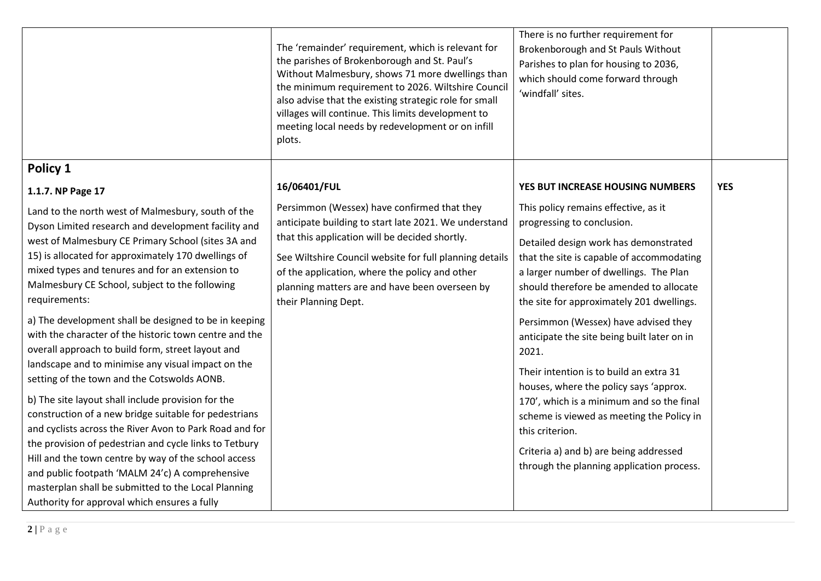|                                                                                                                                                                                                                                                                                                                                                                                                                                                                                                                                                                                                                                                                                 | The 'remainder' requirement, which is relevant for<br>the parishes of Brokenborough and St. Paul's<br>Without Malmesbury, shows 71 more dwellings than<br>the minimum requirement to 2026. Wiltshire Council<br>also advise that the existing strategic role for small<br>villages will continue. This limits development to<br>meeting local needs by redevelopment or on infill<br>plots. | There is no further requirement for<br>Brokenborough and St Pauls Without<br>Parishes to plan for housing to 2036,<br>which should come forward through<br>'windfall' sites.                                                                                                                                                                                                                                                                                                                                                 |            |
|---------------------------------------------------------------------------------------------------------------------------------------------------------------------------------------------------------------------------------------------------------------------------------------------------------------------------------------------------------------------------------------------------------------------------------------------------------------------------------------------------------------------------------------------------------------------------------------------------------------------------------------------------------------------------------|---------------------------------------------------------------------------------------------------------------------------------------------------------------------------------------------------------------------------------------------------------------------------------------------------------------------------------------------------------------------------------------------|------------------------------------------------------------------------------------------------------------------------------------------------------------------------------------------------------------------------------------------------------------------------------------------------------------------------------------------------------------------------------------------------------------------------------------------------------------------------------------------------------------------------------|------------|
| Policy 1                                                                                                                                                                                                                                                                                                                                                                                                                                                                                                                                                                                                                                                                        |                                                                                                                                                                                                                                                                                                                                                                                             |                                                                                                                                                                                                                                                                                                                                                                                                                                                                                                                              |            |
| 1.1.7. NP Page 17                                                                                                                                                                                                                                                                                                                                                                                                                                                                                                                                                                                                                                                               | 16/06401/FUL                                                                                                                                                                                                                                                                                                                                                                                | YES BUT INCREASE HOUSING NUMBERS                                                                                                                                                                                                                                                                                                                                                                                                                                                                                             | <b>YES</b> |
| Land to the north west of Malmesbury, south of the<br>Dyson Limited research and development facility and<br>west of Malmesbury CE Primary School (sites 3A and<br>15) is allocated for approximately 170 dwellings of<br>mixed types and tenures and for an extension to<br>Malmesbury CE School, subject to the following<br>requirements:<br>a) The development shall be designed to be in keeping<br>with the character of the historic town centre and the<br>overall approach to build form, street layout and<br>landscape and to minimise any visual impact on the<br>setting of the town and the Cotswolds AONB.<br>b) The site layout shall include provision for the | Persimmon (Wessex) have confirmed that they<br>anticipate building to start late 2021. We understand<br>that this application will be decided shortly.<br>See Wiltshire Council website for full planning details<br>of the application, where the policy and other<br>planning matters are and have been overseen by<br>their Planning Dept.                                               | This policy remains effective, as it<br>progressing to conclusion.<br>Detailed design work has demonstrated<br>that the site is capable of accommodating<br>a larger number of dwellings. The Plan<br>should therefore be amended to allocate<br>the site for approximately 201 dwellings.<br>Persimmon (Wessex) have advised they<br>anticipate the site being built later on in<br>2021.<br>Their intention is to build an extra 31<br>houses, where the policy says 'approx.<br>170', which is a minimum and so the final |            |
| construction of a new bridge suitable for pedestrians<br>and cyclists across the River Avon to Park Road and for<br>the provision of pedestrian and cycle links to Tetbury<br>Hill and the town centre by way of the school access<br>and public footpath 'MALM 24'c) A comprehensive<br>masterplan shall be submitted to the Local Planning<br>Authority for approval which ensures a fully                                                                                                                                                                                                                                                                                    |                                                                                                                                                                                                                                                                                                                                                                                             | scheme is viewed as meeting the Policy in<br>this criterion.<br>Criteria a) and b) are being addressed<br>through the planning application process.                                                                                                                                                                                                                                                                                                                                                                          |            |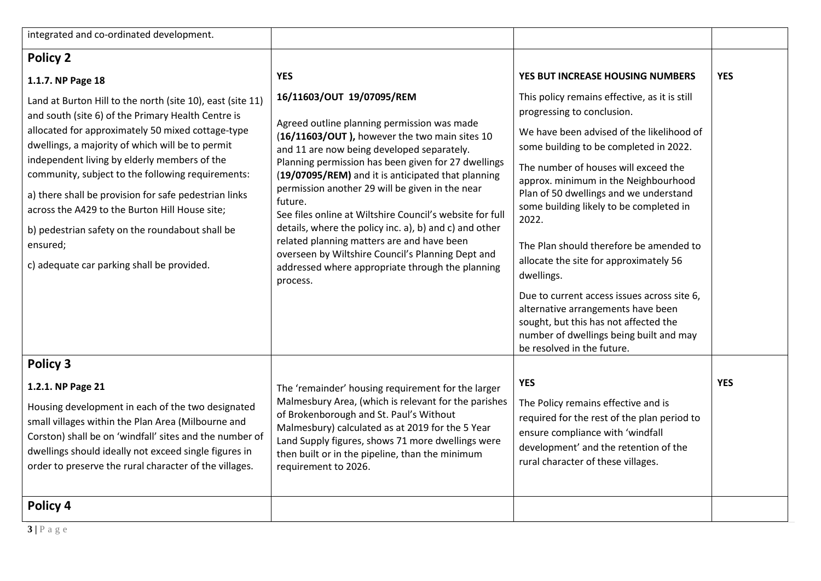| integrated and co-ordinated development.                                                                                                                                                                                                                                                                                                                                                                                                                                                                                                               |                                                                                                                                                                                                                                                                                                                                                                                                                                                                                                                                                                                                                                             |                                                                                                                                                                                                                                                                                                                                                                                                                                                                                                                                                                                                                                                            |            |
|--------------------------------------------------------------------------------------------------------------------------------------------------------------------------------------------------------------------------------------------------------------------------------------------------------------------------------------------------------------------------------------------------------------------------------------------------------------------------------------------------------------------------------------------------------|---------------------------------------------------------------------------------------------------------------------------------------------------------------------------------------------------------------------------------------------------------------------------------------------------------------------------------------------------------------------------------------------------------------------------------------------------------------------------------------------------------------------------------------------------------------------------------------------------------------------------------------------|------------------------------------------------------------------------------------------------------------------------------------------------------------------------------------------------------------------------------------------------------------------------------------------------------------------------------------------------------------------------------------------------------------------------------------------------------------------------------------------------------------------------------------------------------------------------------------------------------------------------------------------------------------|------------|
| <b>Policy 2</b>                                                                                                                                                                                                                                                                                                                                                                                                                                                                                                                                        |                                                                                                                                                                                                                                                                                                                                                                                                                                                                                                                                                                                                                                             |                                                                                                                                                                                                                                                                                                                                                                                                                                                                                                                                                                                                                                                            |            |
| 1.1.7. NP Page 18                                                                                                                                                                                                                                                                                                                                                                                                                                                                                                                                      | <b>YES</b>                                                                                                                                                                                                                                                                                                                                                                                                                                                                                                                                                                                                                                  | YES BUT INCREASE HOUSING NUMBERS                                                                                                                                                                                                                                                                                                                                                                                                                                                                                                                                                                                                                           | <b>YES</b> |
| Land at Burton Hill to the north (site 10), east (site 11)<br>and south (site 6) of the Primary Health Centre is<br>allocated for approximately 50 mixed cottage-type<br>dwellings, a majority of which will be to permit<br>independent living by elderly members of the<br>community, subject to the following requirements:<br>a) there shall be provision for safe pedestrian links<br>across the A429 to the Burton Hill House site;<br>b) pedestrian safety on the roundabout shall be<br>ensured;<br>c) adequate car parking shall be provided. | 16/11603/OUT 19/07095/REM<br>Agreed outline planning permission was made<br>(16/11603/OUT), however the two main sites 10<br>and 11 are now being developed separately.<br>Planning permission has been given for 27 dwellings<br>(19/07095/REM) and it is anticipated that planning<br>permission another 29 will be given in the near<br>future.<br>See files online at Wiltshire Council's website for full<br>details, where the policy inc. a), b) and c) and other<br>related planning matters are and have been<br>overseen by Wiltshire Council's Planning Dept and<br>addressed where appropriate through the planning<br>process. | This policy remains effective, as it is still<br>progressing to conclusion.<br>We have been advised of the likelihood of<br>some building to be completed in 2022.<br>The number of houses will exceed the<br>approx. minimum in the Neighbourhood<br>Plan of 50 dwellings and we understand<br>some building likely to be completed in<br>2022.<br>The Plan should therefore be amended to<br>allocate the site for approximately 56<br>dwellings.<br>Due to current access issues across site 6,<br>alternative arrangements have been<br>sought, but this has not affected the<br>number of dwellings being built and may<br>be resolved in the future. |            |
| Policy 3                                                                                                                                                                                                                                                                                                                                                                                                                                                                                                                                               |                                                                                                                                                                                                                                                                                                                                                                                                                                                                                                                                                                                                                                             |                                                                                                                                                                                                                                                                                                                                                                                                                                                                                                                                                                                                                                                            |            |
| 1.2.1. NP Page 21                                                                                                                                                                                                                                                                                                                                                                                                                                                                                                                                      | The 'remainder' housing requirement for the larger                                                                                                                                                                                                                                                                                                                                                                                                                                                                                                                                                                                          | <b>YES</b><br>The Policy remains effective and is<br>required for the rest of the plan period to<br>ensure compliance with 'windfall<br>development' and the retention of the<br>rural character of these villages.                                                                                                                                                                                                                                                                                                                                                                                                                                        | <b>YES</b> |
| Housing development in each of the two designated<br>small villages within the Plan Area (Milbourne and<br>Corston) shall be on 'windfall' sites and the number of<br>dwellings should ideally not exceed single figures in<br>order to preserve the rural character of the villages.                                                                                                                                                                                                                                                                  | Malmesbury Area, (which is relevant for the parishes<br>of Brokenborough and St. Paul's Without<br>Malmesbury) calculated as at 2019 for the 5 Year<br>Land Supply figures, shows 71 more dwellings were<br>then built or in the pipeline, than the minimum<br>requirement to 2026.                                                                                                                                                                                                                                                                                                                                                         |                                                                                                                                                                                                                                                                                                                                                                                                                                                                                                                                                                                                                                                            |            |
| Policy 4                                                                                                                                                                                                                                                                                                                                                                                                                                                                                                                                               |                                                                                                                                                                                                                                                                                                                                                                                                                                                                                                                                                                                                                                             |                                                                                                                                                                                                                                                                                                                                                                                                                                                                                                                                                                                                                                                            |            |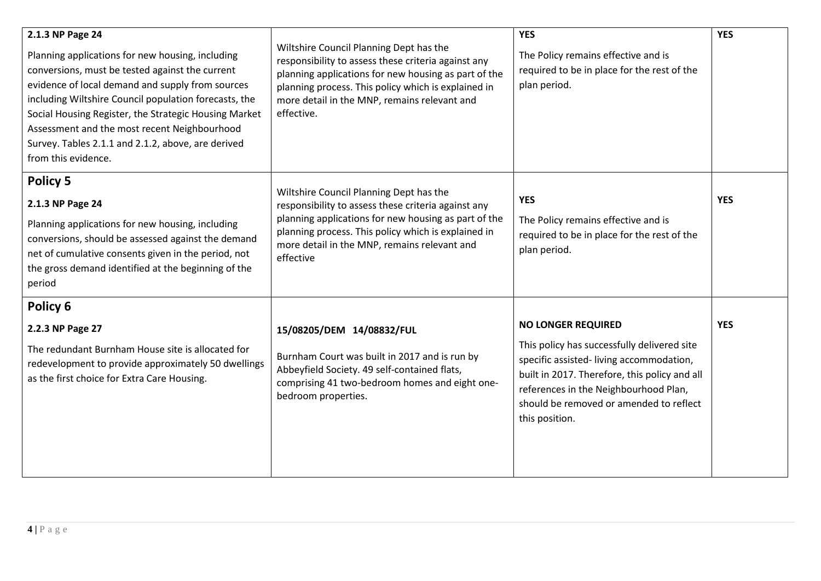| 2.1.3 NP Page 24<br>Planning applications for new housing, including<br>conversions, must be tested against the current<br>evidence of local demand and supply from sources<br>including Wiltshire Council population forecasts, the<br>Social Housing Register, the Strategic Housing Market<br>Assessment and the most recent Neighbourhood<br>Survey. Tables 2.1.1 and 2.1.2, above, are derived<br>from this evidence. | Wiltshire Council Planning Dept has the<br>responsibility to assess these criteria against any<br>planning applications for new housing as part of the<br>planning process. This policy which is explained in<br>more detail in the MNP, remains relevant and<br>effective. | <b>YES</b><br>The Policy remains effective and is<br>required to be in place for the rest of the<br>plan period.                                                                                                                                                           | <b>YES</b> |
|----------------------------------------------------------------------------------------------------------------------------------------------------------------------------------------------------------------------------------------------------------------------------------------------------------------------------------------------------------------------------------------------------------------------------|-----------------------------------------------------------------------------------------------------------------------------------------------------------------------------------------------------------------------------------------------------------------------------|----------------------------------------------------------------------------------------------------------------------------------------------------------------------------------------------------------------------------------------------------------------------------|------------|
| <b>Policy 5</b>                                                                                                                                                                                                                                                                                                                                                                                                            | Wiltshire Council Planning Dept has the                                                                                                                                                                                                                                     | <b>YES</b>                                                                                                                                                                                                                                                                 | <b>YES</b> |
| 2.1.3 NP Page 24<br>Planning applications for new housing, including<br>conversions, should be assessed against the demand<br>net of cumulative consents given in the period, not<br>the gross demand identified at the beginning of the<br>period                                                                                                                                                                         | responsibility to assess these criteria against any<br>planning applications for new housing as part of the<br>planning process. This policy which is explained in<br>more detail in the MNP, remains relevant and<br>effective                                             | The Policy remains effective and is<br>required to be in place for the rest of the<br>plan period.                                                                                                                                                                         |            |
| Policy 6                                                                                                                                                                                                                                                                                                                                                                                                                   |                                                                                                                                                                                                                                                                             |                                                                                                                                                                                                                                                                            |            |
| 2.2.3 NP Page 27<br>The redundant Burnham House site is allocated for<br>redevelopment to provide approximately 50 dwellings<br>as the first choice for Extra Care Housing.                                                                                                                                                                                                                                                | 15/08205/DEM 14/08832/FUL<br>Burnham Court was built in 2017 and is run by<br>Abbeyfield Society. 49 self-contained flats,<br>comprising 41 two-bedroom homes and eight one-<br>bedroom properties.                                                                         | <b>NO LONGER REQUIRED</b><br>This policy has successfully delivered site<br>specific assisted-living accommodation,<br>built in 2017. Therefore, this policy and all<br>references in the Neighbourhood Plan,<br>should be removed or amended to reflect<br>this position. | <b>YES</b> |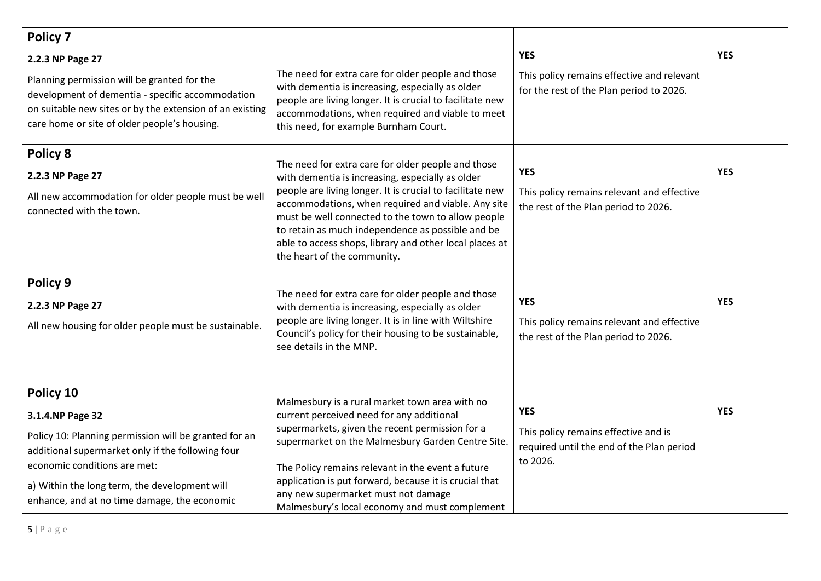| <b>Policy 7</b><br>2.2.3 NP Page 27                                                                                                                                                                                                                                          |                                                                                                                                                                                                                                                                                                                                                                                                                                | <b>YES</b>                                                                                                  | <b>YES</b> |
|------------------------------------------------------------------------------------------------------------------------------------------------------------------------------------------------------------------------------------------------------------------------------|--------------------------------------------------------------------------------------------------------------------------------------------------------------------------------------------------------------------------------------------------------------------------------------------------------------------------------------------------------------------------------------------------------------------------------|-------------------------------------------------------------------------------------------------------------|------------|
| Planning permission will be granted for the<br>development of dementia - specific accommodation<br>on suitable new sites or by the extension of an existing<br>care home or site of older people's housing.                                                                  | The need for extra care for older people and those<br>with dementia is increasing, especially as older<br>people are living longer. It is crucial to facilitate new<br>accommodations, when required and viable to meet<br>this need, for example Burnham Court.                                                                                                                                                               | This policy remains effective and relevant<br>for the rest of the Plan period to 2026.                      |            |
| Policy 8<br>2.2.3 NP Page 27<br>All new accommodation for older people must be well<br>connected with the town.                                                                                                                                                              | The need for extra care for older people and those<br>with dementia is increasing, especially as older<br>people are living longer. It is crucial to facilitate new<br>accommodations, when required and viable. Any site<br>must be well connected to the town to allow people<br>to retain as much independence as possible and be<br>able to access shops, library and other local places at<br>the heart of the community. | <b>YES</b><br>This policy remains relevant and effective<br>the rest of the Plan period to 2026.            | <b>YES</b> |
| Policy 9<br>2.2.3 NP Page 27<br>All new housing for older people must be sustainable.                                                                                                                                                                                        | The need for extra care for older people and those<br>with dementia is increasing, especially as older<br>people are living longer. It is in line with Wiltshire<br>Council's policy for their housing to be sustainable,<br>see details in the MNP.                                                                                                                                                                           | <b>YES</b><br>This policy remains relevant and effective<br>the rest of the Plan period to 2026.            | <b>YES</b> |
| Policy 10<br>3.1.4.NP Page 32<br>Policy 10: Planning permission will be granted for an<br>additional supermarket only if the following four<br>economic conditions are met:<br>a) Within the long term, the development will<br>enhance, and at no time damage, the economic | Malmesbury is a rural market town area with no<br>current perceived need for any additional<br>supermarkets, given the recent permission for a<br>supermarket on the Malmesbury Garden Centre Site.<br>The Policy remains relevant in the event a future<br>application is put forward, because it is crucial that<br>any new supermarket must not damage<br>Malmesbury's local economy and must complement                    | <b>YES</b><br>This policy remains effective and is<br>required until the end of the Plan period<br>to 2026. | <b>YES</b> |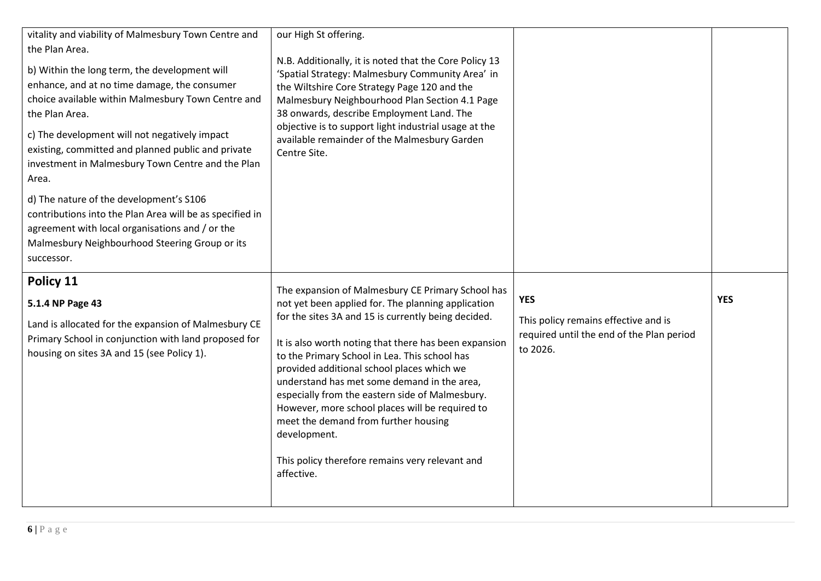| vitality and viability of Malmesbury Town Centre and<br>the Plan Area.<br>b) Within the long term, the development will<br>enhance, and at no time damage, the consumer<br>choice available within Malmesbury Town Centre and<br>the Plan Area.<br>c) The development will not negatively impact<br>existing, committed and planned public and private<br>investment in Malmesbury Town Centre and the Plan<br>Area.<br>d) The nature of the development's S106 | our High St offering.<br>N.B. Additionally, it is noted that the Core Policy 13<br>'Spatial Strategy: Malmesbury Community Area' in<br>the Wiltshire Core Strategy Page 120 and the<br>Malmesbury Neighbourhood Plan Section 4.1 Page<br>38 onwards, describe Employment Land. The<br>objective is to support light industrial usage at the<br>available remainder of the Malmesbury Garden<br>Centre Site.                                                                                                                                                                                          |                                                                                                             |            |
|-----------------------------------------------------------------------------------------------------------------------------------------------------------------------------------------------------------------------------------------------------------------------------------------------------------------------------------------------------------------------------------------------------------------------------------------------------------------|------------------------------------------------------------------------------------------------------------------------------------------------------------------------------------------------------------------------------------------------------------------------------------------------------------------------------------------------------------------------------------------------------------------------------------------------------------------------------------------------------------------------------------------------------------------------------------------------------|-------------------------------------------------------------------------------------------------------------|------------|
| contributions into the Plan Area will be as specified in<br>agreement with local organisations and / or the<br>Malmesbury Neighbourhood Steering Group or its<br>successor.                                                                                                                                                                                                                                                                                     |                                                                                                                                                                                                                                                                                                                                                                                                                                                                                                                                                                                                      |                                                                                                             |            |
| Policy 11<br>5.1.4 NP Page 43<br>Land is allocated for the expansion of Malmesbury CE<br>Primary School in conjunction with land proposed for<br>housing on sites 3A and 15 (see Policy 1).                                                                                                                                                                                                                                                                     | The expansion of Malmesbury CE Primary School has<br>not yet been applied for. The planning application<br>for the sites 3A and 15 is currently being decided.<br>It is also worth noting that there has been expansion<br>to the Primary School in Lea. This school has<br>provided additional school places which we<br>understand has met some demand in the area,<br>especially from the eastern side of Malmesbury.<br>However, more school places will be required to<br>meet the demand from further housing<br>development.<br>This policy therefore remains very relevant and<br>affective. | <b>YES</b><br>This policy remains effective and is<br>required until the end of the Plan period<br>to 2026. | <b>YES</b> |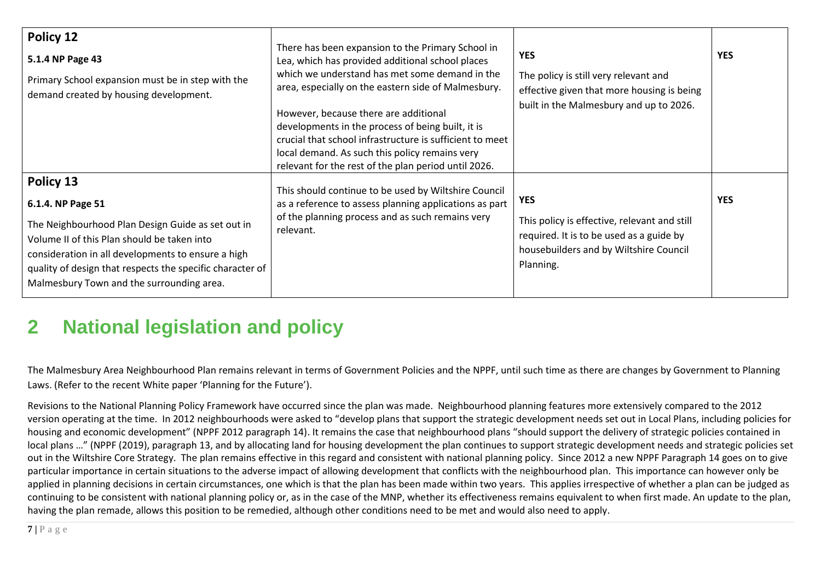| Policy 12<br>5.1.4 NP Page 43<br>Primary School expansion must be in step with the<br>demand created by housing development.                                                                                                                                                                       | There has been expansion to the Primary School in<br>Lea, which has provided additional school places<br>which we understand has met some demand in the<br>area, especially on the eastern side of Malmesbury.<br>However, because there are additional<br>developments in the process of being built, it is<br>crucial that school infrastructure is sufficient to meet<br>local demand. As such this policy remains very<br>relevant for the rest of the plan period until 2026. | <b>YES</b><br>The policy is still very relevant and<br>effective given that more housing is being<br>built in the Malmesbury and up to 2026.                  | <b>YES</b> |
|----------------------------------------------------------------------------------------------------------------------------------------------------------------------------------------------------------------------------------------------------------------------------------------------------|------------------------------------------------------------------------------------------------------------------------------------------------------------------------------------------------------------------------------------------------------------------------------------------------------------------------------------------------------------------------------------------------------------------------------------------------------------------------------------|---------------------------------------------------------------------------------------------------------------------------------------------------------------|------------|
| Policy 13<br>6.1.4. NP Page 51<br>The Neighbourhood Plan Design Guide as set out in<br>Volume II of this Plan should be taken into<br>consideration in all developments to ensure a high<br>quality of design that respects the specific character of<br>Malmesbury Town and the surrounding area. | This should continue to be used by Wiltshire Council<br>as a reference to assess planning applications as part<br>of the planning process and as such remains very<br>relevant.                                                                                                                                                                                                                                                                                                    | <b>YES</b><br>This policy is effective, relevant and still<br>required. It is to be used as a guide by<br>housebuilders and by Wiltshire Council<br>Planning. | <b>YES</b> |

## **2 National legislation and policy**

The Malmesbury Area Neighbourhood Plan remains relevant in terms of Government Policies and the NPPF, until such time as there are changes by Government to Planning Laws. (Refer to the recent White paper 'Planning for the Future').

Revisions to the National Planning Policy Framework have occurred since the plan was made. Neighbourhood planning features more extensively compared to the 2012 version operating at the time. In 2012 neighbourhoods were asked to "develop plans that support the strategic development needs set out in Local Plans, including policies for housing and economic development" (NPPF 2012 paragraph 14). It remains the case that neighbourhood plans "should support the delivery of strategic policies contained in local plans …" (NPPF (2019), paragraph 13, and by allocating land for housing development the plan continues to support strategic development needs and strategic policies set out in the Wiltshire Core Strategy. The plan remains effective in this regard and consistent with national planning policy. Since 2012 a new NPPF Paragraph 14 goes on to give particular importance in certain situations to the adverse impact of allowing development that conflicts with the neighbourhood plan. This importance can however only be applied in planning decisions in certain circumstances, one which is that the plan has been made within two years. This applies irrespective of whether a plan can be judged as continuing to be consistent with national planning policy or, as in the case of the MNP, whether its effectiveness remains equivalent to when first made. An update to the plan, having the plan remade, allows this position to be remedied, although other conditions need to be met and would also need to apply.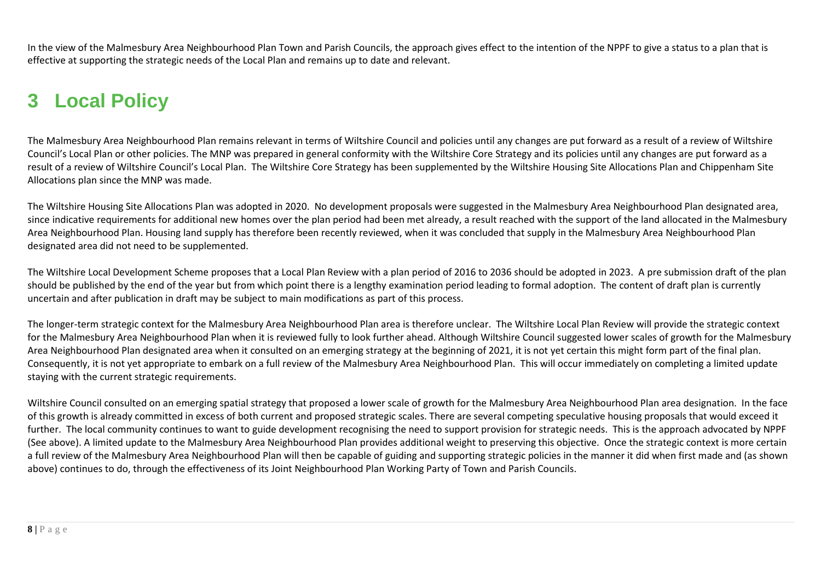In the view of the Malmesbury Area Neighbourhood Plan Town and Parish Councils, the approach gives effect to the intention of the NPPF to give a status to a plan that is effective at supporting the strategic needs of the Local Plan and remains up to date and relevant.

## **3 Local Policy**

The Malmesbury Area Neighbourhood Plan remains relevant in terms of Wiltshire Council and policies until any changes are put forward as a result of a review of Wiltshire Council's Local Plan or other policies. The MNP was prepared in general conformity with the Wiltshire Core Strategy and its policies until any changes are put forward as a result of a review of Wiltshire Council's Local Plan. The Wiltshire Core Strategy has been supplemented by the Wiltshire Housing Site Allocations Plan and Chippenham Site Allocations plan since the MNP was made.

The Wiltshire Housing Site Allocations Plan was adopted in 2020. No development proposals were suggested in the Malmesbury Area Neighbourhood Plan designated area, since indicative requirements for additional new homes over the plan period had been met already, a result reached with the support of the land allocated in the Malmesbury Area Neighbourhood Plan. Housing land supply has therefore been recently reviewed, when it was concluded that supply in the Malmesbury Area Neighbourhood Plan designated area did not need to be supplemented.

The Wiltshire Local Development Scheme proposes that a Local Plan Review with a plan period of 2016 to 2036 should be adopted in 2023. A pre submission draft of the plan should be published by the end of the year but from which point there is a lengthy examination period leading to formal adoption. The content of draft plan is currently uncertain and after publication in draft may be subject to main modifications as part of this process.

The longer-term strategic context for the Malmesbury Area Neighbourhood Plan area is therefore unclear. The Wiltshire Local Plan Review will provide the strategic context for the Malmesbury Area Neighbourhood Plan when it is reviewed fully to look further ahead. Although Wiltshire Council suggested lower scales of growth for the Malmesbury Area Neighbourhood Plan designated area when it consulted on an emerging strategy at the beginning of 2021, it is not yet certain this might form part of the final plan. Consequently, it is not yet appropriate to embark on a full review of the Malmesbury Area Neighbourhood Plan. This will occur immediately on completing a limited update staying with the current strategic requirements.

Wiltshire Council consulted on an emerging spatial strategy that proposed a lower scale of growth for the Malmesbury Area Neighbourhood Plan area designation. In the face of this growth is already committed in excess of both current and proposed strategic scales. There are several competing speculative housing proposals that would exceed it further. The local community continues to want to guide development recognising the need to support provision for strategic needs. This is the approach advocated by NPPF (See above). A limited update to the Malmesbury Area Neighbourhood Plan provides additional weight to preserving this objective. Once the strategic context is more certain a full review of the Malmesbury Area Neighbourhood Plan will then be capable of guiding and supporting strategic policies in the manner it did when first made and (as shown above) continues to do, through the effectiveness of its Joint Neighbourhood Plan Working Party of Town and Parish Councils.